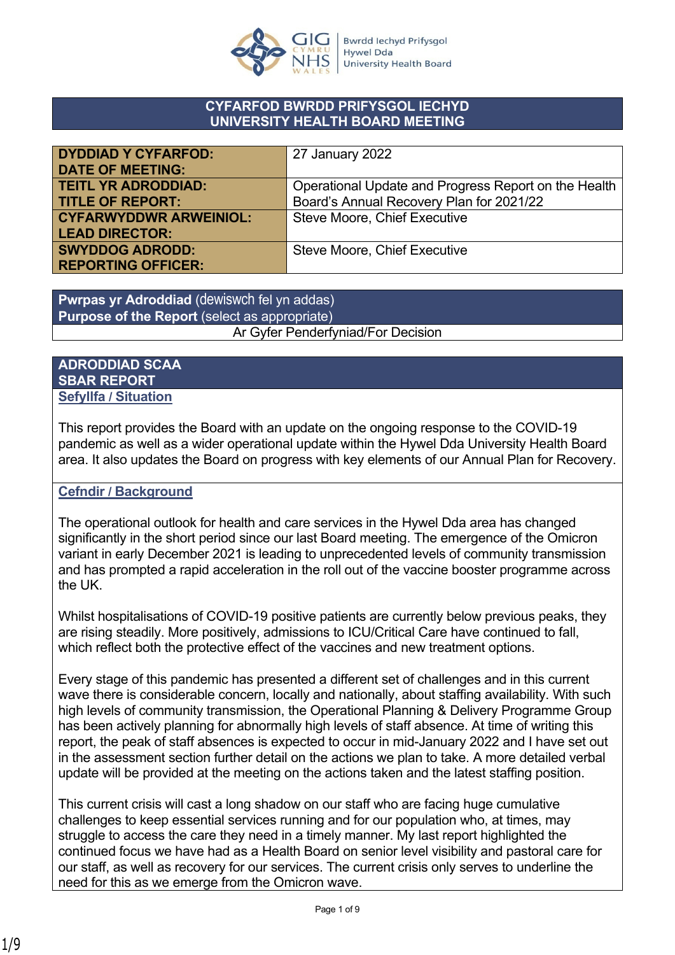

#### **CYFARFOD BWRDD PRIFYSGOL IECHYD UNIVERSITY HEALTH BOARD MEETING**

| <b>DYDDIAD Y CYFARFOD:</b>    | 27 January 2022                                      |
|-------------------------------|------------------------------------------------------|
| <b>DATE OF MEETING:</b>       |                                                      |
| <b>TEITL YR ADRODDIAD:</b>    | Operational Update and Progress Report on the Health |
| <b>TITLE OF REPORT:</b>       | Board's Annual Recovery Plan for 2021/22             |
| <b>CYFARWYDDWR ARWEINIOL:</b> | <b>Steve Moore, Chief Executive</b>                  |
| <b>LEAD DIRECTOR:</b>         |                                                      |
| <b>SWYDDOG ADRODD:</b>        | Steve Moore, Chief Executive                         |
| <b>REPORTING OFFICER:</b>     |                                                      |

**Pwrpas yr Adroddiad** (dewiswch fel yn addas) **Purpose of the Report** (select as appropriate) Ar Gyfer Penderfyniad/For Decision

### **ADRODDIAD SCAA SBAR REPORT Sefyllfa / Situation**

This report provides the Board with an update on the ongoing response to the COVID-19 pandemic as well as a wider operational update within the Hywel Dda University Health Board area. It also updates the Board on progress with key elements of our Annual Plan for Recovery.

### **Cefndir / Background**

The operational outlook for health and care services in the Hywel Dda area has changed significantly in the short period since our last Board meeting. The emergence of the Omicron variant in early December 2021 is leading to unprecedented levels of community transmission and has prompted a rapid acceleration in the roll out of the vaccine booster programme across the UK.

Whilst hospitalisations of COVID-19 positive patients are currently below previous peaks, they are rising steadily. More positively, admissions to ICU/Critical Care have continued to fall, which reflect both the protective effect of the vaccines and new treatment options.

Every stage of this pandemic has presented a different set of challenges and in this current wave there is considerable concern, locally and nationally, about staffing availability. With such high levels of community transmission, the Operational Planning & Delivery Programme Group has been actively planning for abnormally high levels of staff absence. At time of writing this report, the peak of staff absences is expected to occur in mid-January 2022 and I have set out in the assessment section further detail on the actions we plan to take. A more detailed verbal update will be provided at the meeting on the actions taken and the latest staffing position.

This current crisis will cast a long shadow on our staff who are facing huge cumulative challenges to keep essential services running and for our population who, at times, may struggle to access the care they need in a timely manner. My last report highlighted the continued focus we have had as a Health Board on senior level visibility and pastoral care for our staff, as well as recovery for our services. The current crisis only serves to underline the need for this as we emerge from the Omicron wave.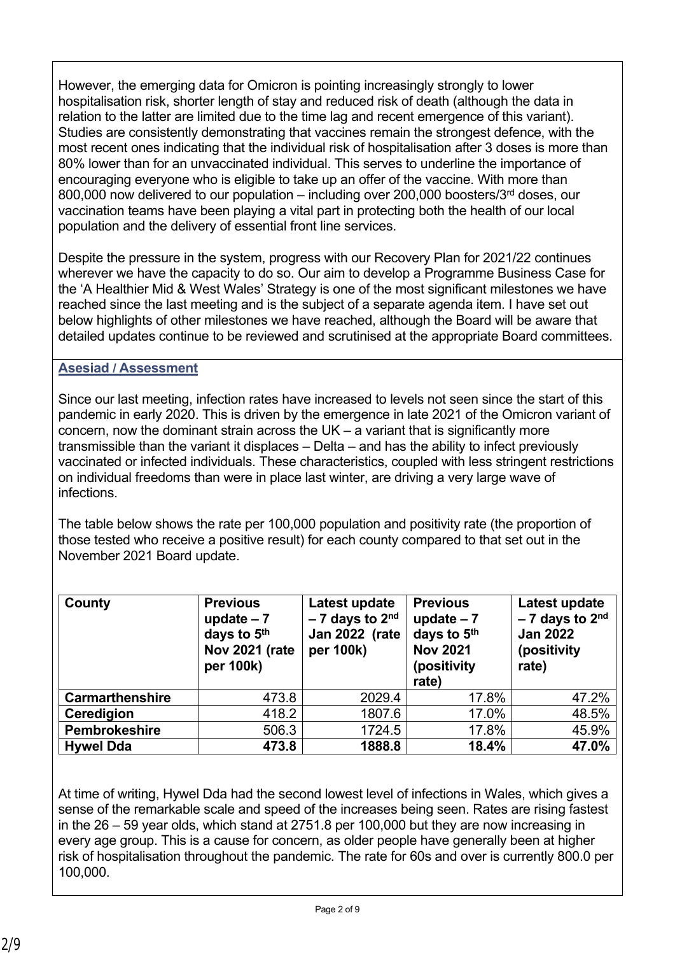However, the emerging data for Omicron is pointing increasingly strongly to lower hospitalisation risk, shorter length of stay and reduced risk of death (although the data in relation to the latter are limited due to the time lag and recent emergence of this variant). Studies are consistently demonstrating that vaccines remain the strongest defence, with the most recent ones indicating that the individual risk of hospitalisation after 3 doses is more than 80% lower than for an unvaccinated individual. This serves to underline the importance of encouraging everyone who is eligible to take up an offer of the vaccine. With more than 800,000 now delivered to our population – including over 200,000 boosters/ $3<sup>rd</sup>$  doses, our vaccination teams have been playing a vital part in protecting both the health of our local population and the delivery of essential front line services.

Despite the pressure in the system, progress with our Recovery Plan for 2021/22 continues wherever we have the capacity to do so. Our aim to develop a Programme Business Case for the 'A Healthier Mid & West Wales' Strategy is one of the most significant milestones we have reached since the last meeting and is the subject of a separate agenda item. I have set out below highlights of other milestones we have reached, although the Board will be aware that detailed updates continue to be reviewed and scrutinised at the appropriate Board committees.

## **Asesiad / Assessment**

Since our last meeting, infection rates have increased to levels not seen since the start of this pandemic in early 2020. This is driven by the emergence in late 2021 of the Omicron variant of concern, now the dominant strain across the  $UK - a$  variant that is significantly more transmissible than the variant it displaces – Delta – and has the ability to infect previously vaccinated or infected individuals. These characteristics, coupled with less stringent restrictions on individual freedoms than were in place last winter, are driving a very large wave of infections.

The table below shows the rate per 100,000 population and positivity rate (the proportion of those tested who receive a positive result) for each county compared to that set out in the November 2021 Board update.

| County                 | <b>Previous</b><br>update $-7$<br>days to 5th<br><b>Nov 2021 (rate</b><br>per 100k) | Latest update<br>$-7$ days to $2nd$<br><b>Jan 2022 (rate</b><br>per 100k) | <b>Previous</b><br>update $-7$<br>days to 5th<br><b>Nov 2021</b><br>(positivity<br>rate) | Latest update<br>$-7$ days to 2 <sup>nd</sup><br><b>Jan 2022</b><br>(positivity<br>rate) |
|------------------------|-------------------------------------------------------------------------------------|---------------------------------------------------------------------------|------------------------------------------------------------------------------------------|------------------------------------------------------------------------------------------|
| <b>Carmarthenshire</b> | 473.8                                                                               | 2029.4                                                                    | 17.8%                                                                                    | 47.2%                                                                                    |
| Ceredigion             | 418.2                                                                               | 1807.6                                                                    | 17.0%                                                                                    | 48.5%                                                                                    |
| <b>Pembrokeshire</b>   | 506.3                                                                               | 1724.5                                                                    | 17.8%                                                                                    | 45.9%                                                                                    |
| <b>Hywel Dda</b>       | 473.8                                                                               | 1888.8                                                                    | 18.4%                                                                                    | 47.0%                                                                                    |

At time of writing, Hywel Dda had the second lowest level of infections in Wales, which gives a sense of the remarkable scale and speed of the increases being seen. Rates are rising fastest in the 26 – 59 year olds, which stand at 2751.8 per 100,000 but they are now increasing in every age group. This is a cause for concern, as older people have generally been at higher risk of hospitalisation throughout the pandemic. The rate for 60s and over is currently 800.0 per 100,000.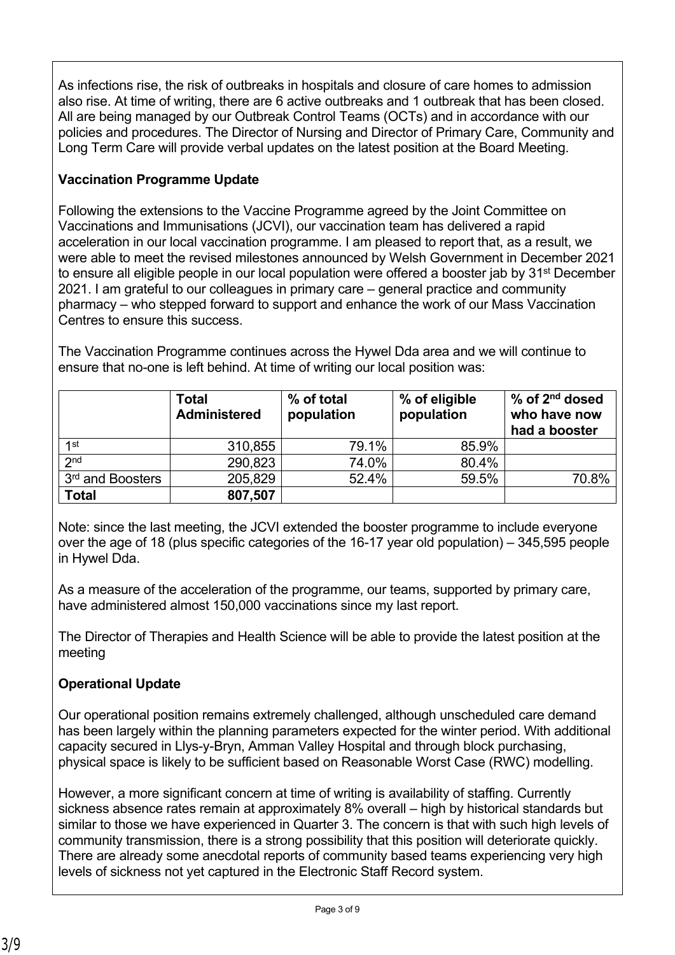As infections rise, the risk of outbreaks in hospitals and closure of care homes to admission also rise. At time of writing, there are 6 active outbreaks and 1 outbreak that has been closed. All are being managed by our Outbreak Control Teams (OCTs) and in accordance with our policies and procedures. The Director of Nursing and Director of Primary Care, Community and Long Term Care will provide verbal updates on the latest position at the Board Meeting.

# **Vaccination Programme Update**

Following the extensions to the Vaccine Programme agreed by the Joint Committee on Vaccinations and Immunisations (JCVI), our vaccination team has delivered a rapid acceleration in our local vaccination programme. I am pleased to report that, as a result, we were able to meet the revised milestones announced by Welsh Government in December 2021 to ensure all eligible people in our local population were offered a booster jab by 31<sup>st</sup> December 2021. I am grateful to our colleagues in primary care – general practice and community pharmacy – who stepped forward to support and enhance the work of our Mass Vaccination Centres to ensure this success.

The Vaccination Programme continues across the Hywel Dda area and we will continue to ensure that no-one is left behind. At time of writing our local position was:

|                              | <b>Total</b><br><b>Administered</b> | % of total<br>population | % of eligible<br>population | $%$ of $2nd$ dosed<br>who have now<br>had a booster |
|------------------------------|-------------------------------------|--------------------------|-----------------------------|-----------------------------------------------------|
| 1st                          | 310,855                             | 79.1%                    | 85.9%                       |                                                     |
| 2 <sub>nd</sub>              | 290,823                             | 74.0%                    | 80.4%                       |                                                     |
| 3 <sup>rd</sup> and Boosters | 205,829                             | 52.4%                    | 59.5%                       | 70.8%                                               |
| <b>Total</b>                 | 807,507                             |                          |                             |                                                     |

Note: since the last meeting, the JCVI extended the booster programme to include everyone over the age of 18 (plus specific categories of the 16-17 year old population) – 345,595 people in Hywel Dda.

As a measure of the acceleration of the programme, our teams, supported by primary care, have administered almost 150,000 vaccinations since my last report.

The Director of Therapies and Health Science will be able to provide the latest position at the meeting

# **Operational Update**

Our operational position remains extremely challenged, although unscheduled care demand has been largely within the planning parameters expected for the winter period. With additional capacity secured in Llys-y-Bryn, Amman Valley Hospital and through block purchasing, physical space is likely to be sufficient based on Reasonable Worst Case (RWC) modelling.

However, a more significant concern at time of writing is availability of staffing. Currently sickness absence rates remain at approximately 8% overall – high by historical standards but similar to those we have experienced in Quarter 3. The concern is that with such high levels of community transmission, there is a strong possibility that this position will deteriorate quickly. There are already some anecdotal reports of community based teams experiencing very high levels of sickness not yet captured in the Electronic Staff Record system.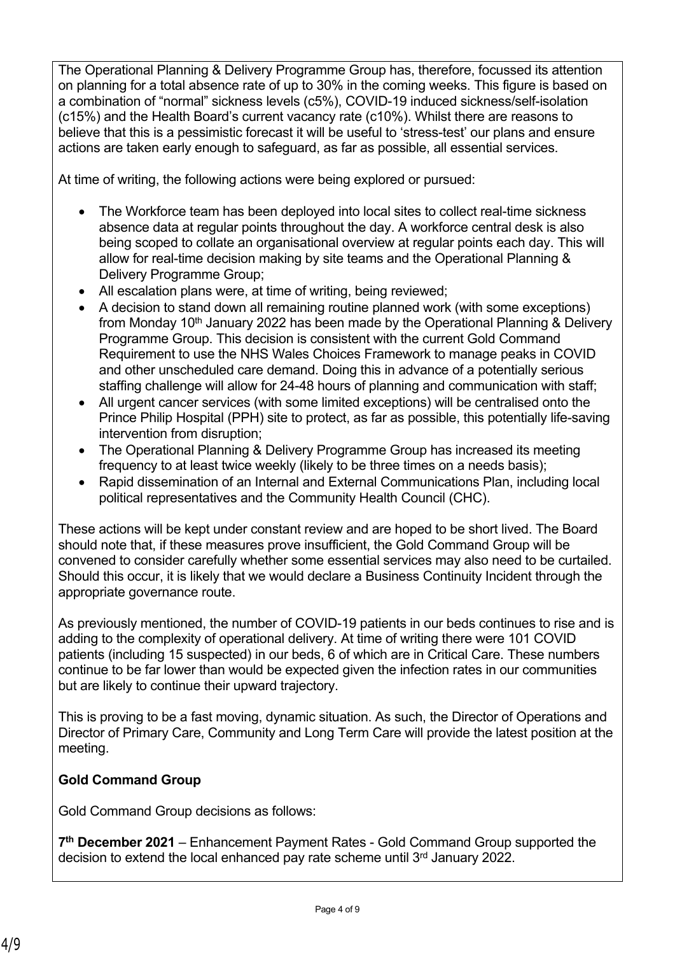The Operational Planning & Delivery Programme Group has, therefore, focussed its attention on planning for a total absence rate of up to 30% in the coming weeks. This figure is based on a combination of "normal" sickness levels (c5%), COVID-19 induced sickness/self-isolation (c15%) and the Health Board's current vacancy rate (c10%). Whilst there are reasons to believe that this is a pessimistic forecast it will be useful to 'stress-test' our plans and ensure actions are taken early enough to safeguard, as far as possible, all essential services.

At time of writing, the following actions were being explored or pursued:

- The Workforce team has been deployed into local sites to collect real-time sickness absence data at regular points throughout the day. A workforce central desk is also being scoped to collate an organisational overview at regular points each day. This will allow for real-time decision making by site teams and the Operational Planning & Delivery Programme Group;
- All escalation plans were, at time of writing, being reviewed;
- A decision to stand down all remaining routine planned work (with some exceptions) from Monday 10<sup>th</sup> January 2022 has been made by the Operational Planning & Delivery Programme Group. This decision is consistent with the current Gold Command Requirement to use the NHS Wales Choices Framework to manage peaks in COVID and other unscheduled care demand. Doing this in advance of a potentially serious staffing challenge will allow for 24-48 hours of planning and communication with staff;
- All urgent cancer services (with some limited exceptions) will be centralised onto the Prince Philip Hospital (PPH) site to protect, as far as possible, this potentially life-saving intervention from disruption;
- The Operational Planning & Delivery Programme Group has increased its meeting frequency to at least twice weekly (likely to be three times on a needs basis);
- Rapid dissemination of an Internal and External Communications Plan, including local political representatives and the Community Health Council (CHC).

These actions will be kept under constant review and are hoped to be short lived. The Board should note that, if these measures prove insufficient, the Gold Command Group will be convened to consider carefully whether some essential services may also need to be curtailed. Should this occur, it is likely that we would declare a Business Continuity Incident through the appropriate governance route.

As previously mentioned, the number of COVID-19 patients in our beds continues to rise and is adding to the complexity of operational delivery. At time of writing there were 101 COVID patients (including 15 suspected) in our beds, 6 of which are in Critical Care. These numbers continue to be far lower than would be expected given the infection rates in our communities but are likely to continue their upward trajectory.

This is proving to be a fast moving, dynamic situation. As such, the Director of Operations and Director of Primary Care, Community and Long Term Care will provide the latest position at the meeting.

## **Gold Command Group**

Gold Command Group decisions as follows:

**7 th December 2021** – Enhancement Payment Rates - Gold Command Group supported the decision to extend the local enhanced pay rate scheme until 3rd January 2022.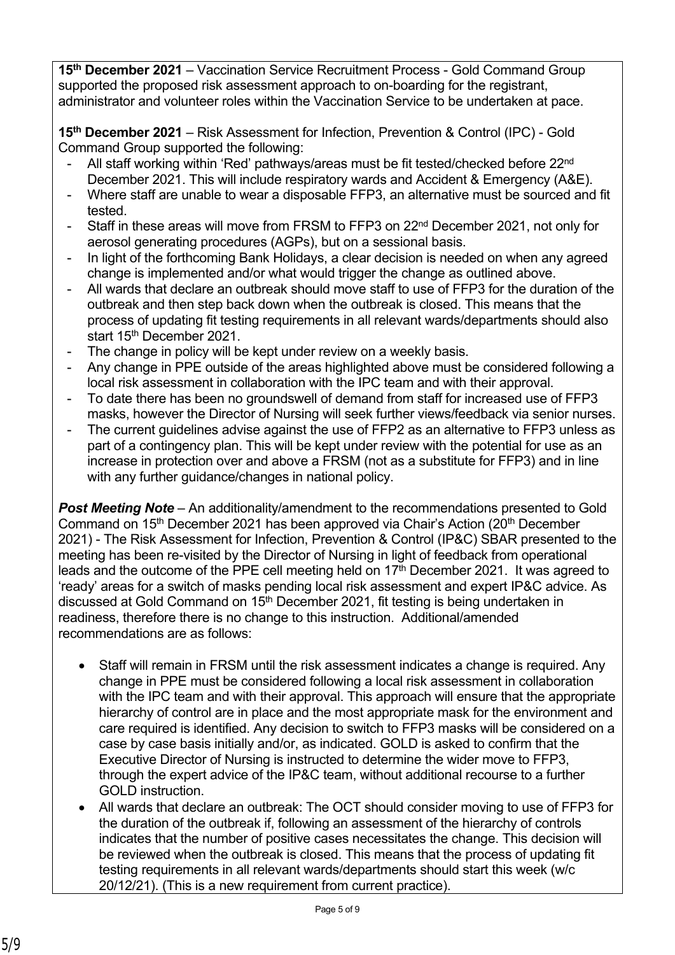**15th December 2021** – Vaccination Service Recruitment Process - Gold Command Group supported the proposed risk assessment approach to on-boarding for the registrant, administrator and volunteer roles within the Vaccination Service to be undertaken at pace.

**15th December 2021** – Risk Assessment for Infection, Prevention & Control (IPC) - Gold Command Group supported the following:

- All staff working within 'Red' pathways/areas must be fit tested/checked before 22<sup>nd</sup> December 2021. This will include respiratory wards and Accident & Emergency (A&E).
- Where staff are unable to wear a disposable FFP3, an alternative must be sourced and fit tested.
- Staff in these areas will move from FRSM to FFP3 on 22<sup>nd</sup> December 2021, not only for aerosol generating procedures (AGPs), but on a sessional basis.
- In light of the forthcoming Bank Holidays, a clear decision is needed on when any agreed change is implemented and/or what would trigger the change as outlined above.
- All wards that declare an outbreak should move staff to use of FFP3 for the duration of the outbreak and then step back down when the outbreak is closed. This means that the process of updating fit testing requirements in all relevant wards/departments should also start 15<sup>th</sup> December 2021.
- The change in policy will be kept under review on a weekly basis.
- Any change in PPE outside of the areas highlighted above must be considered following a local risk assessment in collaboration with the IPC team and with their approval.
- To date there has been no groundswell of demand from staff for increased use of FFP3 masks, however the Director of Nursing will seek further views/feedback via senior nurses.
- The current guidelines advise against the use of FFP2 as an alternative to FFP3 unless as part of a contingency plan. This will be kept under review with the potential for use as an increase in protection over and above a FRSM (not as a substitute for FFP3) and in line with any further guidance/changes in national policy.

*Post Meeting Note* – An additionality/amendment to the recommendations presented to Gold Command on 15<sup>th</sup> December 2021 has been approved via Chair's Action (20<sup>th</sup> December 2021) - The Risk Assessment for Infection, Prevention & Control (IP&C) SBAR presented to the meeting has been re-visited by the Director of Nursing in light of feedback from operational leads and the outcome of the PPE cell meeting held on 17<sup>th</sup> December 2021. It was agreed to 'ready' areas for a switch of masks pending local risk assessment and expert IP&C advice. As discussed at Gold Command on 15<sup>th</sup> December 2021, fit testing is being undertaken in readiness, therefore there is no change to this instruction. Additional/amended recommendations are as follows:

- Staff will remain in FRSM until the risk assessment indicates a change is required. Any change in PPE must be considered following a local risk assessment in collaboration with the IPC team and with their approval. This approach will ensure that the appropriate hierarchy of control are in place and the most appropriate mask for the environment and care required is identified. Any decision to switch to FFP3 masks will be considered on a case by case basis initially and/or, as indicated. GOLD is asked to confirm that the Executive Director of Nursing is instructed to determine the wider move to FFP3, through the expert advice of the IP&C team, without additional recourse to a further GOLD instruction.
- All wards that declare an outbreak: The OCT should consider moving to use of FFP3 for the duration of the outbreak if, following an assessment of the hierarchy of controls indicates that the number of positive cases necessitates the change. This decision will be reviewed when the outbreak is closed. This means that the process of updating fit testing requirements in all relevant wards/departments should start this week (w/c 20/12/21). (This is a new requirement from current practice).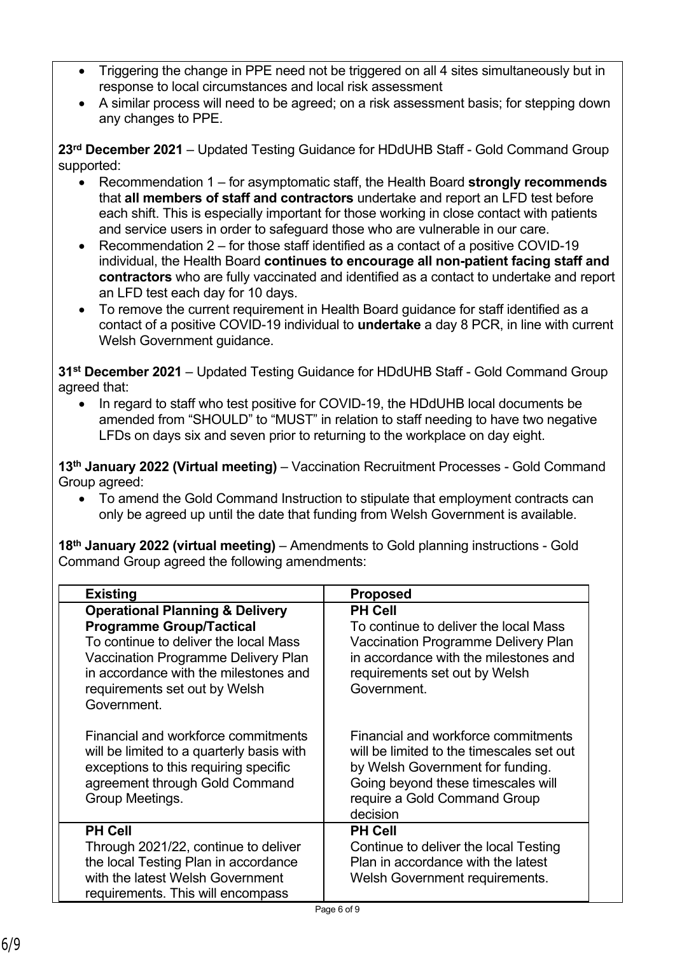- Triggering the change in PPE need not be triggered on all 4 sites simultaneously but in response to local circumstances and local risk assessment
- A similar process will need to be agreed; on a risk assessment basis; for stepping down any changes to PPE.

**23rd December 2021** – Updated Testing Guidance for HDdUHB Staff - Gold Command Group supported:

- Recommendation 1 for asymptomatic staff, the Health Board **strongly recommends**  that **all members of staff and contractors** undertake and report an LFD test before each shift. This is especially important for those working in close contact with patients and service users in order to safeguard those who are vulnerable in our care.
- Recommendation 2 for those staff identified as a contact of a positive COVID-19 individual, the Health Board **continues to encourage all non-patient facing staff and contractors** who are fully vaccinated and identified as a contact to undertake and report an LFD test each day for 10 days.
- To remove the current requirement in Health Board guidance for staff identified as a contact of a positive COVID-19 individual to **undertake** a day 8 PCR, in line with current Welsh Government guidance.

**31st December 2021** – Updated Testing Guidance for HDdUHB Staff - Gold Command Group agreed that:

 In regard to staff who test positive for COVID-19, the HDdUHB local documents be amended from "SHOULD" to "MUST" in relation to staff needing to have two negative LFDs on days six and seven prior to returning to the workplace on day eight.

**13th January 2022 (Virtual meeting)** – Vaccination Recruitment Processes - Gold Command Group agreed:

 To amend the Gold Command Instruction to stipulate that employment contracts can only be agreed up until the date that funding from Welsh Government is available.

**18th January 2022 (virtual meeting)** – Amendments to Gold planning instructions - Gold Command Group agreed the following amendments:

| <b>Existing</b>                                                                                                                                                                                                                                        | <b>Proposed</b>                                                                                                                                                                                        |
|--------------------------------------------------------------------------------------------------------------------------------------------------------------------------------------------------------------------------------------------------------|--------------------------------------------------------------------------------------------------------------------------------------------------------------------------------------------------------|
| <b>Operational Planning &amp; Delivery</b><br><b>Programme Group/Tactical</b><br>To continue to deliver the local Mass<br>Vaccination Programme Delivery Plan<br>in accordance with the milestones and<br>requirements set out by Welsh<br>Government. | <b>PH Cell</b><br>To continue to deliver the local Mass<br>Vaccination Programme Delivery Plan<br>in accordance with the milestones and<br>requirements set out by Welsh<br>Government.                |
| Financial and workforce commitments<br>will be limited to a quarterly basis with<br>exceptions to this requiring specific<br>agreement through Gold Command<br>Group Meetings.                                                                         | Financial and workforce commitments<br>will be limited to the timescales set out<br>by Welsh Government for funding.<br>Going beyond these timescales will<br>require a Gold Command Group<br>decision |
| <b>PH Cell</b><br>Through 2021/22, continue to deliver<br>the local Testing Plan in accordance<br>with the latest Welsh Government<br>requirements. This will encompass                                                                                | <b>PH Cell</b><br>Continue to deliver the local Testing<br>Plan in accordance with the latest<br>Welsh Government requirements.                                                                        |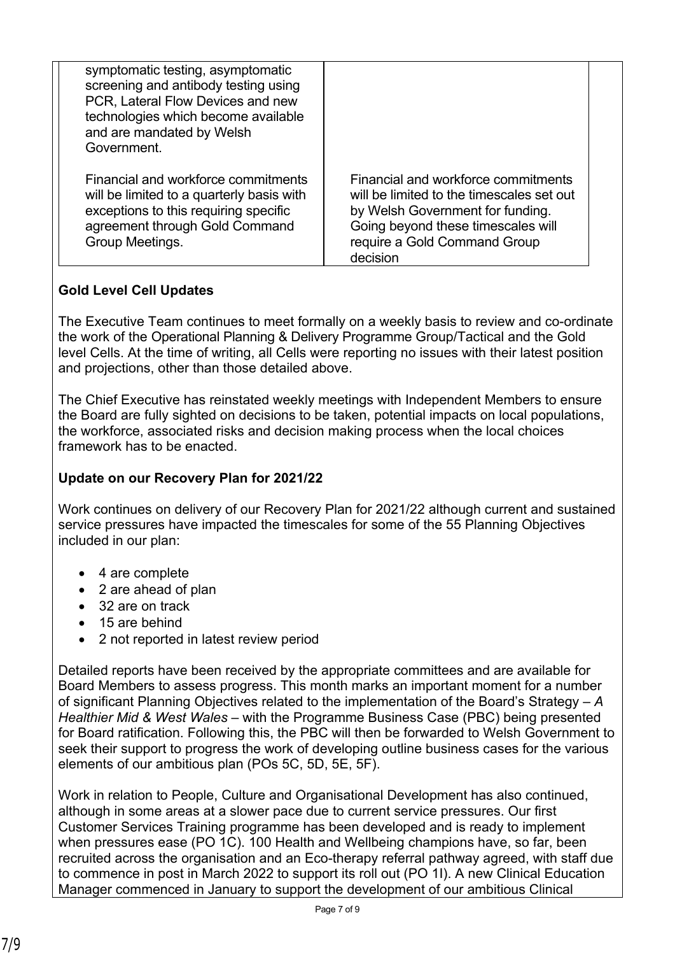| symptomatic testing, asymptomatic<br>screening and antibody testing using<br>PCR, Lateral Flow Devices and new<br>technologies which become available<br>and are mandated by Welsh<br>Government. |                                                                                                                                                                                                        |
|---------------------------------------------------------------------------------------------------------------------------------------------------------------------------------------------------|--------------------------------------------------------------------------------------------------------------------------------------------------------------------------------------------------------|
| Financial and workforce commitments<br>will be limited to a quarterly basis with<br>exceptions to this requiring specific<br>agreement through Gold Command<br>Group Meetings.                    | Financial and workforce commitments<br>will be limited to the timescales set out<br>by Welsh Government for funding.<br>Going beyond these timescales will<br>require a Gold Command Group<br>decision |

## **Gold Level Cell Updates**

The Executive Team continues to meet formally on a weekly basis to review and co-ordinate the work of the Operational Planning & Delivery Programme Group/Tactical and the Gold level Cells. At the time of writing, all Cells were reporting no issues with their latest position and projections, other than those detailed above.

The Chief Executive has reinstated weekly meetings with Independent Members to ensure the Board are fully sighted on decisions to be taken, potential impacts on local populations, the workforce, associated risks and decision making process when the local choices framework has to be enacted.

### **Update on our Recovery Plan for 2021/22**

Work continues on delivery of our Recovery Plan for 2021/22 although current and sustained service pressures have impacted the timescales for some of the 55 Planning Objectives included in our plan:

- 4 are complete
- 2 are ahead of plan
- 32 are on track
- 15 are behind
- 2 not reported in latest review period

Detailed reports have been received by the appropriate committees and are available for Board Members to assess progress. This month marks an important moment for a number of significant Planning Objectives related to the implementation of the Board's Strategy – *A Healthier Mid & West Wales* – with the Programme Business Case (PBC) being presented for Board ratification. Following this, the PBC will then be forwarded to Welsh Government to seek their support to progress the work of developing outline business cases for the various elements of our ambitious plan (POs 5C, 5D, 5E, 5F).

Work in relation to People, Culture and Organisational Development has also continued, although in some areas at a slower pace due to current service pressures. Our first Customer Services Training programme has been developed and is ready to implement when pressures ease (PO 1C). 100 Health and Wellbeing champions have, so far, been recruited across the organisation and an Eco-therapy referral pathway agreed, with staff due to commence in post in March 2022 to support its roll out (PO 1I). A new Clinical Education Manager commenced in January to support the development of our ambitious Clinical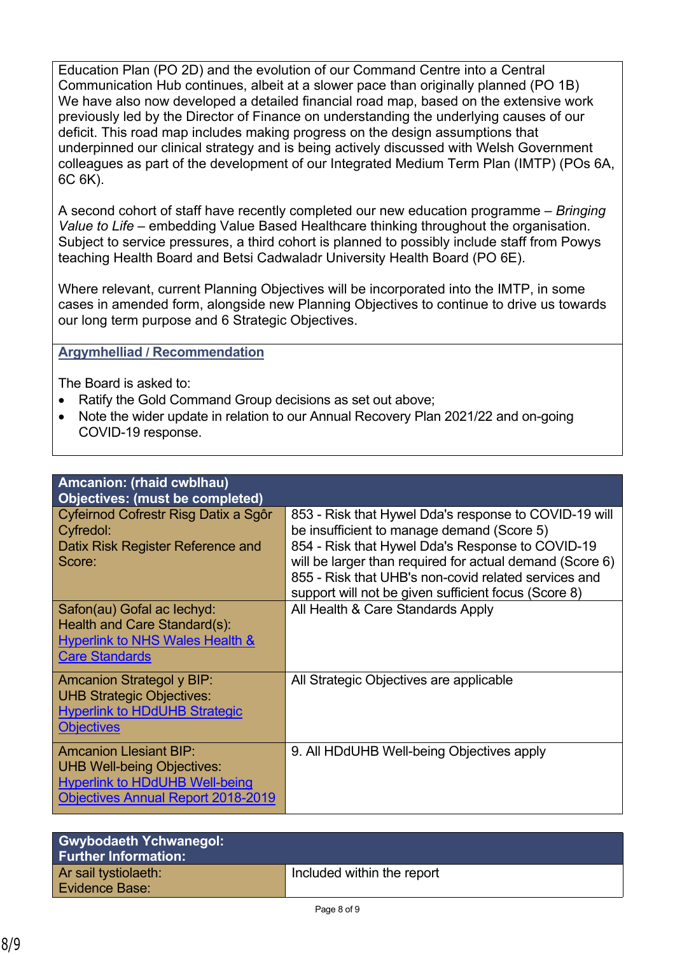Education Plan (PO 2D) and the evolution of our Command Centre into a Central Communication Hub continues, albeit at a slower pace than originally planned (PO 1B) We have also now developed a detailed financial road map, based on the extensive work previously led by the Director of Finance on understanding the underlying causes of our deficit. This road map includes making progress on the design assumptions that underpinned our clinical strategy and is being actively discussed with Welsh Government colleagues as part of the development of our Integrated Medium Term Plan (IMTP) (POs 6A, 6C 6K).

A second cohort of staff have recently completed our new education programme – *Bringing Value to Life* – embedding Value Based Healthcare thinking throughout the organisation. Subject to service pressures, a third cohort is planned to possibly include staff from Powys teaching Health Board and Betsi Cadwaladr University Health Board (PO 6E).

Where relevant, current Planning Objectives will be incorporated into the IMTP, in some cases in amended form, alongside new Planning Objectives to continue to drive us towards our long term purpose and 6 Strategic Objectives.

### **Argymhelliad / Recommendation**

The Board is asked to:

- Ratify the Gold Command Group decisions as set out above;
- Note the wider update in relation to our Annual Recovery Plan 2021/22 and on-going COVID-19 response.

| Amcanion: (rhaid cwblhau)                                                                                                                                |                                                                                                                                                                                                                                                                                                                                     |
|----------------------------------------------------------------------------------------------------------------------------------------------------------|-------------------------------------------------------------------------------------------------------------------------------------------------------------------------------------------------------------------------------------------------------------------------------------------------------------------------------------|
| Objectives: (must be completed)                                                                                                                          |                                                                                                                                                                                                                                                                                                                                     |
| Cyfeirnod Cofrestr Risg Datix a Sgôr<br>Cyfredol:<br>Datix Risk Register Reference and<br>Score:                                                         | 853 - Risk that Hywel Dda's response to COVID-19 will<br>be insufficient to manage demand (Score 5)<br>854 - Risk that Hywel Dda's Response to COVID-19<br>will be larger than required for actual demand (Score 6)<br>855 - Risk that UHB's non-covid related services and<br>support will not be given sufficient focus (Score 8) |
| Safon(au) Gofal ac lechyd:<br>Health and Care Standard(s):<br>Hyperlink to NHS Wales Health &<br><b>Care Standards</b>                                   | All Health & Care Standards Apply                                                                                                                                                                                                                                                                                                   |
| <b>Amcanion Strategol y BIP:</b><br><b>UHB Strategic Objectives:</b><br><b>Hyperlink to HDdUHB Strategic</b><br><b>Objectives</b>                        | All Strategic Objectives are applicable                                                                                                                                                                                                                                                                                             |
| <b>Amcanion Llesiant BIP:</b><br><b>UHB Well-being Objectives:</b><br><b>Hyperlink to HDdUHB Well-being</b><br><b>Objectives Annual Report 2018-2019</b> | 9. All HDdUHB Well-being Objectives apply                                                                                                                                                                                                                                                                                           |

| <b>Gwybodaeth Ychwanegol:</b><br><b>Further Information:</b> |                            |
|--------------------------------------------------------------|----------------------------|
| Ar sail tystiolaeth:<br><b>Evidence Base:</b>                | Included within the report |